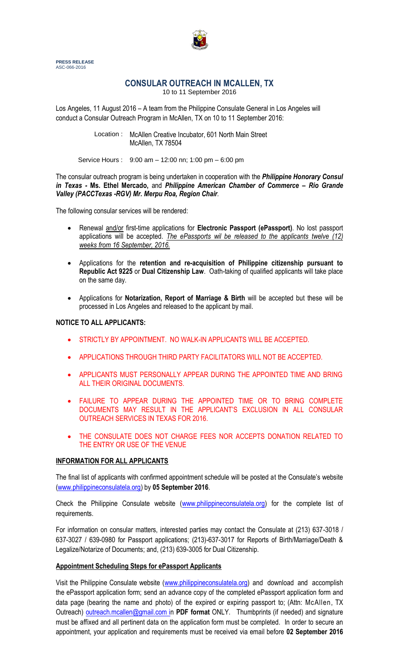

**PRESS RELEASE** ASC-066-2016

# **CONSULAR OUTREACH IN MCALLEN, TX**

10 to 11 September 2016

Los Angeles, 11 August 2016 – A team from the Philippine Consulate General in Los Angeles will conduct a Consular Outreach Program in McAllen, TX on 10 to 11 September 2016:

> Location : McAllen Creative Incubator, 601 North Main Street McAllen, TX 78504

Service Hours : 9:00 am – 12:00 nn; 1:00 pm – 6:00 pm

The consular outreach program is being undertaken in cooperation with the *Philippine Honorary Consul in Texas -* **Ms. Ethel Mercado,** and *Philippine American Chamber of Commerce – Rio Grande Valley (PACCTexas -RGV) Mr. Merpu Roa, Region Chair.*

The following consular services will be rendered:

- Renewal and/or first-time applications for **Electronic Passport (ePassport)**. No lost passport applications will be accepted. *The ePassports wil be released to the applicants twelve (12) weeks from 16 September, 2016.*
- Applications for the **retention and re-acquisition of Philippine citizenship pursuant to Republic Act 9225** or **Dual Citizenship Law**. Oath-taking of qualified applicants will take place on the same day.
- Applications for **Notarization, Report of Marriage & Birth** will be accepted but these will be processed in Los Angeles and released to the applicant by mail.

### **NOTICE TO ALL APPLICANTS:**

- STRICTLY BY APPOINTMENT. NO WALK-IN APPLICANTS WILL BE ACCEPTED.
- APPLICATIONS THROUGH THIRD PARTY FACILITATORS WILL NOT BE ACCEPTED.
- APPLICANTS MUST PERSONALLY APPEAR DURING THE APPOINTED TIME AND BRING ALL THEIR ORIGINAL DOCUMENTS.
- FAILURE TO APPEAR DURING THE APPOINTED TIME OR TO BRING COMPLETE DOCUMENTS MAY RESULT IN THE APPLICANT'S EXCLUSION IN ALL CONSULAR OUTREACH SERVICES IN TEXAS FOR 2016.
- THE CONSULATE DOES NOT CHARGE FEES NOR ACCEPTS DONATION RELATED TO THE ENTRY OR USE OF THE VENUE

### **INFORMATION FOR ALL APPLICANTS**

The final list of applicants with confirmed appointment schedule will be posted at the Consulate's website [\(www.philippineconsulatela.org\)](http://www.philippineconsulatela.org/) by **05 September 2016**.

Check the Philippine Consulate website [\(www.philippineconsulatela.org\)](http://www.philippineconsulatela.org/) for the complete list of requirements.

For information on consular matters, interested parties may contact the Consulate at (213) 637-3018 / 637-3027 / 639-0980 for Passport applications; (213)-637-3017 for Reports of Birth/Marriage/Death & Legalize/Notarize of Documents; and, (213) 639-3005 for Dual Citizenship.

### **Appointment Scheduling Steps for ePassport Applicants**

Visit the Philippine Consulate website [\(www.philippineconsulatela.org\)](http://www.philippineconsulatela.org/) and download and accomplish the ePassport application form; send an advance copy of the completed ePassport application form and data page (bearing the name and photo) of the expired or expiring passport to; (Attn: McAllen, TX Outreach) [outreach.mcallen@gmail.com in](mailto:outreach.mcallen@gmail.com%20i) **PDF format** ONLY. Thumbprints (if needed) and signature must be affixed and all pertinent data on the application form must be completed. In order to secure an appointment, your application and requirements must be received via email before **02 September 2016**